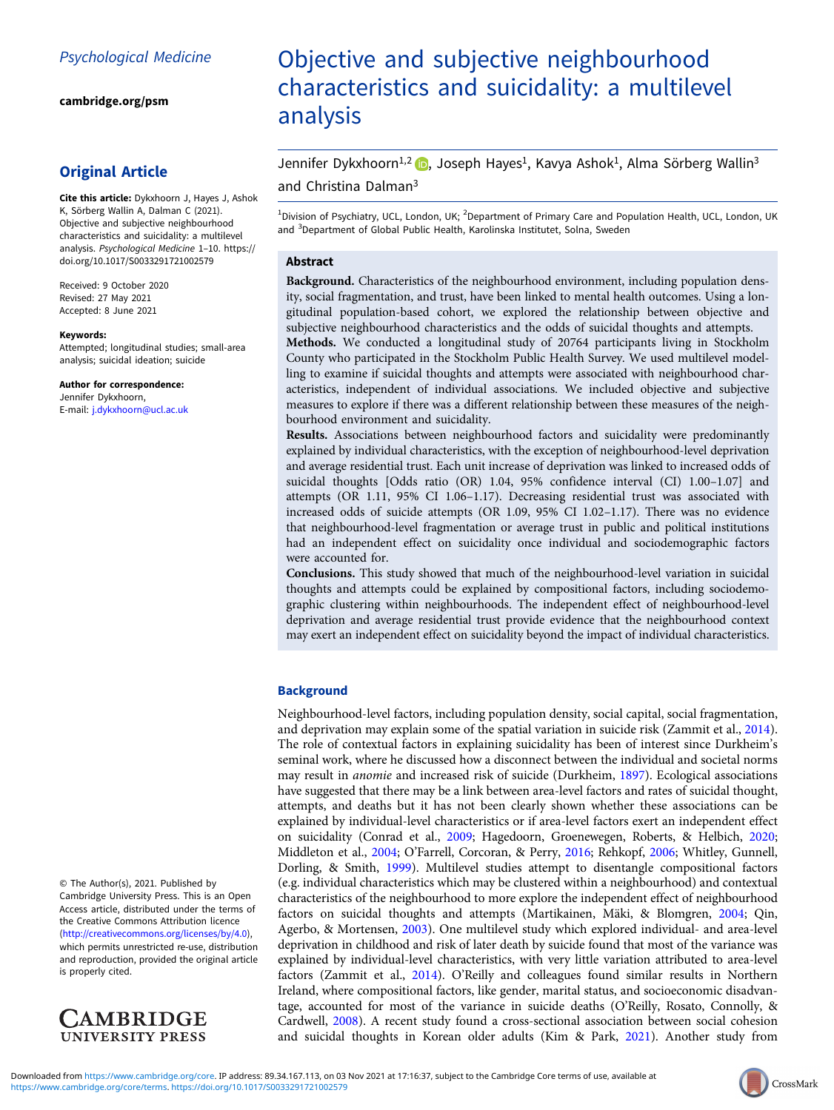[cambridge.org/psm](https://www.cambridge.org/psm)

# Original Article

Cite this article: Dykxhoorn J, Hayes J, Ashok K, Sörberg Wallin A, Dalman C (2021). Objective and subjective neighbourhood characteristics and suicidality: a multilevel analysis. Psychological Medicine 1–10. [https://](https://doi.org/10.1017/S0033291721002579) [doi.org/10.1017/S0033291721002579](https://doi.org/10.1017/S0033291721002579)

Received: 9 October 2020 Revised: 27 May 2021 Accepted: 8 June 2021

#### Keywords:

Attempted; longitudinal studies; small-area analysis; suicidal ideation; suicide

Author for correspondence:

Jennifer Dykxhoorn, E-mail: [j.dykxhoorn@ucl.ac.uk](mailto:j.dykxhoorn@ucl.ac.uk)

© The Author(s), 2021. Published by Cambridge University Press. This is an Open Access article, distributed under the terms of the Creative Commons Attribution licence (<http://creativecommons.org/licenses/by/4.0>), which permits unrestricted re-use, distribution and reproduction, provided the original article is properly cited.



# Objective and subjective neighbourhood characteristics and suicidality: a multilevel analysis

Jennifer Dykxhoorn<sup>1[,](https://orcid.org/0000-0001-6391-8626)2</sup> <sub>(D</sub>, Joseph Hayes<sup>1</sup>, Kavya Ashok<sup>1</sup>, Alma Sörberg Wallin<sup>3</sup> and Christina Dalman3

<sup>1</sup>Division of Psychiatry, UCL, London, UK; <sup>2</sup>Department of Primary Care and Population Health, UCL, London, UK and <sup>3</sup>Department of Global Public Health, Karolinska Institutet, Solna, Sweden

# Abstract

Background. Characteristics of the neighbourhood environment, including population density, social fragmentation, and trust, have been linked to mental health outcomes. Using a longitudinal population-based cohort, we explored the relationship between objective and subjective neighbourhood characteristics and the odds of suicidal thoughts and attempts.

Methods. We conducted a longitudinal study of 20764 participants living in Stockholm County who participated in the Stockholm Public Health Survey. We used multilevel modelling to examine if suicidal thoughts and attempts were associated with neighbourhood characteristics, independent of individual associations. We included objective and subjective measures to explore if there was a different relationship between these measures of the neighbourhood environment and suicidality.

Results. Associations between neighbourhood factors and suicidality were predominantly explained by individual characteristics, with the exception of neighbourhood-level deprivation and average residential trust. Each unit increase of deprivation was linked to increased odds of suicidal thoughts [Odds ratio (OR) 1.04, 95% confidence interval (CI) 1.00–1.07] and attempts (OR 1.11, 95% CI 1.06–1.17). Decreasing residential trust was associated with increased odds of suicide attempts (OR 1.09, 95% CI 1.02–1.17). There was no evidence that neighbourhood-level fragmentation or average trust in public and political institutions had an independent effect on suicidality once individual and sociodemographic factors were accounted for.

Conclusions. This study showed that much of the neighbourhood-level variation in suicidal thoughts and attempts could be explained by compositional factors, including sociodemographic clustering within neighbourhoods. The independent effect of neighbourhood-level deprivation and average residential trust provide evidence that the neighbourhood context may exert an independent effect on suicidality beyond the impact of individual characteristics.

# **Background**

Neighbourhood-level factors, including population density, social capital, social fragmentation, and deprivation may explain some of the spatial variation in suicide risk (Zammit et al., [2014](#page-9-0)). The role of contextual factors in explaining suicidality has been of interest since Durkheim's seminal work, where he discussed how a disconnect between the individual and societal norms may result in anomie and increased risk of suicide (Durkheim, [1897\)](#page-8-0). Ecological associations have suggested that there may be a link between area-level factors and rates of suicidal thought, attempts, and deaths but it has not been clearly shown whether these associations can be explained by individual-level characteristics or if area-level factors exert an independent effect on suicidality (Conrad et al., [2009](#page-8-0); Hagedoorn, Groenewegen, Roberts, & Helbich, [2020](#page-8-0); Middleton et al., [2004;](#page-8-0) O'Farrell, Corcoran, & Perry, [2016;](#page-8-0) Rehkopf, [2006](#page-9-0); Whitley, Gunnell, Dorling, & Smith, [1999](#page-9-0)). Multilevel studies attempt to disentangle compositional factors (e.g. individual characteristics which may be clustered within a neighbourhood) and contextual characteristics of the neighbourhood to more explore the independent effect of neighbourhood factors on suicidal thoughts and attempts (Martikainen, Mäki, & Blomgren, [2004;](#page-8-0) Qin, Agerbo, & Mortensen, [2003\)](#page-8-0). One multilevel study which explored individual- and area-level deprivation in childhood and risk of later death by suicide found that most of the variance was explained by individual-level characteristics, with very little variation attributed to area-level factors (Zammit et al., [2014\)](#page-9-0). O'Reilly and colleagues found similar results in Northern Ireland, where compositional factors, like gender, marital status, and socioeconomic disadvantage, accounted for most of the variance in suicide deaths (O'Reilly, Rosato, Connolly, & Cardwell, [2008](#page-8-0)). A recent study found a cross-sectional association between social cohesion and suicidal thoughts in Korean older adults (Kim & Park, [2021\)](#page-8-0). Another study from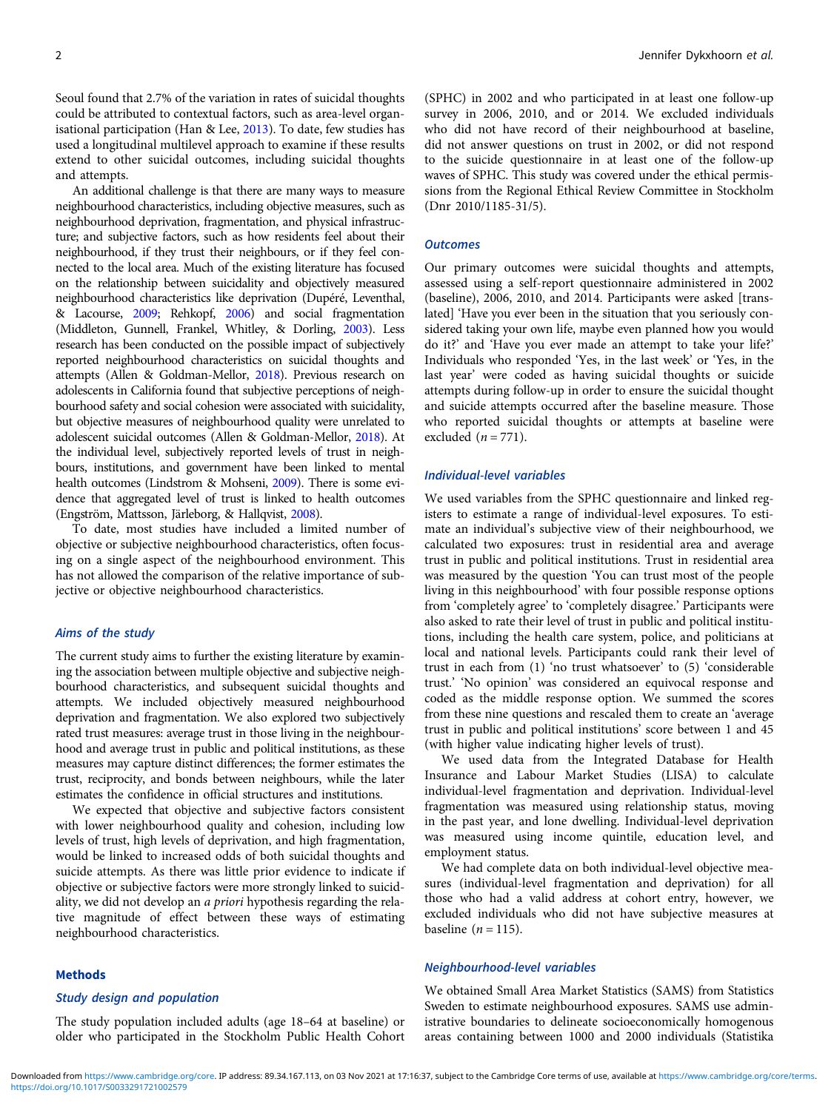Seoul found that 2.7% of the variation in rates of suicidal thoughts could be attributed to contextual factors, such as area-level organisational participation (Han & Lee, [2013\)](#page-8-0). To date, few studies has used a longitudinal multilevel approach to examine if these results extend to other suicidal outcomes, including suicidal thoughts and attempts.

An additional challenge is that there are many ways to measure neighbourhood characteristics, including objective measures, such as neighbourhood deprivation, fragmentation, and physical infrastructure; and subjective factors, such as how residents feel about their neighbourhood, if they trust their neighbours, or if they feel connected to the local area. Much of the existing literature has focused on the relationship between suicidality and objectively measured neighbourhood characteristics like deprivation (Dupéré, Leventhal, & Lacourse, [2009](#page-8-0); Rehkopf, [2006\)](#page-9-0) and social fragmentation (Middleton, Gunnell, Frankel, Whitley, & Dorling, [2003\)](#page-8-0). Less research has been conducted on the possible impact of subjectively reported neighbourhood characteristics on suicidal thoughts and attempts (Allen & Goldman-Mellor, [2018\)](#page-8-0). Previous research on adolescents in California found that subjective perceptions of neighbourhood safety and social cohesion were associated with suicidality, but objective measures of neighbourhood quality were unrelated to adolescent suicidal outcomes (Allen & Goldman-Mellor, [2018\)](#page-8-0). At the individual level, subjectively reported levels of trust in neighbours, institutions, and government have been linked to mental health outcomes (Lindstrom & Mohseni, [2009](#page-8-0)). There is some evidence that aggregated level of trust is linked to health outcomes (Engström, Mattsson, Järleborg, & Hallqvist, [2008](#page-8-0)).

To date, most studies have included a limited number of objective or subjective neighbourhood characteristics, often focusing on a single aspect of the neighbourhood environment. This has not allowed the comparison of the relative importance of subjective or objective neighbourhood characteristics.

# Aims of the study

The current study aims to further the existing literature by examining the association between multiple objective and subjective neighbourhood characteristics, and subsequent suicidal thoughts and attempts. We included objectively measured neighbourhood deprivation and fragmentation. We also explored two subjectively rated trust measures: average trust in those living in the neighbourhood and average trust in public and political institutions, as these measures may capture distinct differences; the former estimates the trust, reciprocity, and bonds between neighbours, while the later estimates the confidence in official structures and institutions.

We expected that objective and subjective factors consistent with lower neighbourhood quality and cohesion, including low levels of trust, high levels of deprivation, and high fragmentation, would be linked to increased odds of both suicidal thoughts and suicide attempts. As there was little prior evidence to indicate if objective or subjective factors were more strongly linked to suicidality, we did not develop an a priori hypothesis regarding the relative magnitude of effect between these ways of estimating neighbourhood characteristics.

#### Methods

# Study design and population

The study population included adults (age 18–64 at baseline) or older who participated in the Stockholm Public Health Cohort (SPHC) in 2002 and who participated in at least one follow-up survey in 2006, 2010, and or 2014. We excluded individuals who did not have record of their neighbourhood at baseline, did not answer questions on trust in 2002, or did not respond to the suicide questionnaire in at least one of the follow-up waves of SPHC. This study was covered under the ethical permissions from the Regional Ethical Review Committee in Stockholm (Dnr 2010/1185-31/5).

# **Outcomes**

Our primary outcomes were suicidal thoughts and attempts, assessed using a self-report questionnaire administered in 2002 (baseline), 2006, 2010, and 2014. Participants were asked [translated] 'Have you ever been in the situation that you seriously considered taking your own life, maybe even planned how you would do it?' and 'Have you ever made an attempt to take your life?' Individuals who responded 'Yes, in the last week' or 'Yes, in the last year' were coded as having suicidal thoughts or suicide attempts during follow-up in order to ensure the suicidal thought and suicide attempts occurred after the baseline measure. Those who reported suicidal thoughts or attempts at baseline were excluded  $(n = 771)$ .

#### Individual-level variables

We used variables from the SPHC questionnaire and linked registers to estimate a range of individual-level exposures. To estimate an individual's subjective view of their neighbourhood, we calculated two exposures: trust in residential area and average trust in public and political institutions. Trust in residential area was measured by the question 'You can trust most of the people living in this neighbourhood' with four possible response options from 'completely agree' to 'completely disagree.' Participants were also asked to rate their level of trust in public and political institutions, including the health care system, police, and politicians at local and national levels. Participants could rank their level of trust in each from (1) 'no trust whatsoever' to (5) 'considerable trust.' 'No opinion' was considered an equivocal response and coded as the middle response option. We summed the scores from these nine questions and rescaled them to create an 'average trust in public and political institutions' score between 1 and 45 (with higher value indicating higher levels of trust).

We used data from the Integrated Database for Health Insurance and Labour Market Studies (LISA) to calculate individual-level fragmentation and deprivation. Individual-level fragmentation was measured using relationship status, moving in the past year, and lone dwelling. Individual-level deprivation was measured using income quintile, education level, and employment status.

We had complete data on both individual-level objective measures (individual-level fragmentation and deprivation) for all those who had a valid address at cohort entry, however, we excluded individuals who did not have subjective measures at baseline  $(n = 115)$ .

# Neighbourhood-level variables

We obtained Small Area Market Statistics (SAMS) from Statistics Sweden to estimate neighbourhood exposures. SAMS use administrative boundaries to delineate socioeconomically homogenous areas containing between 1000 and 2000 individuals (Statistika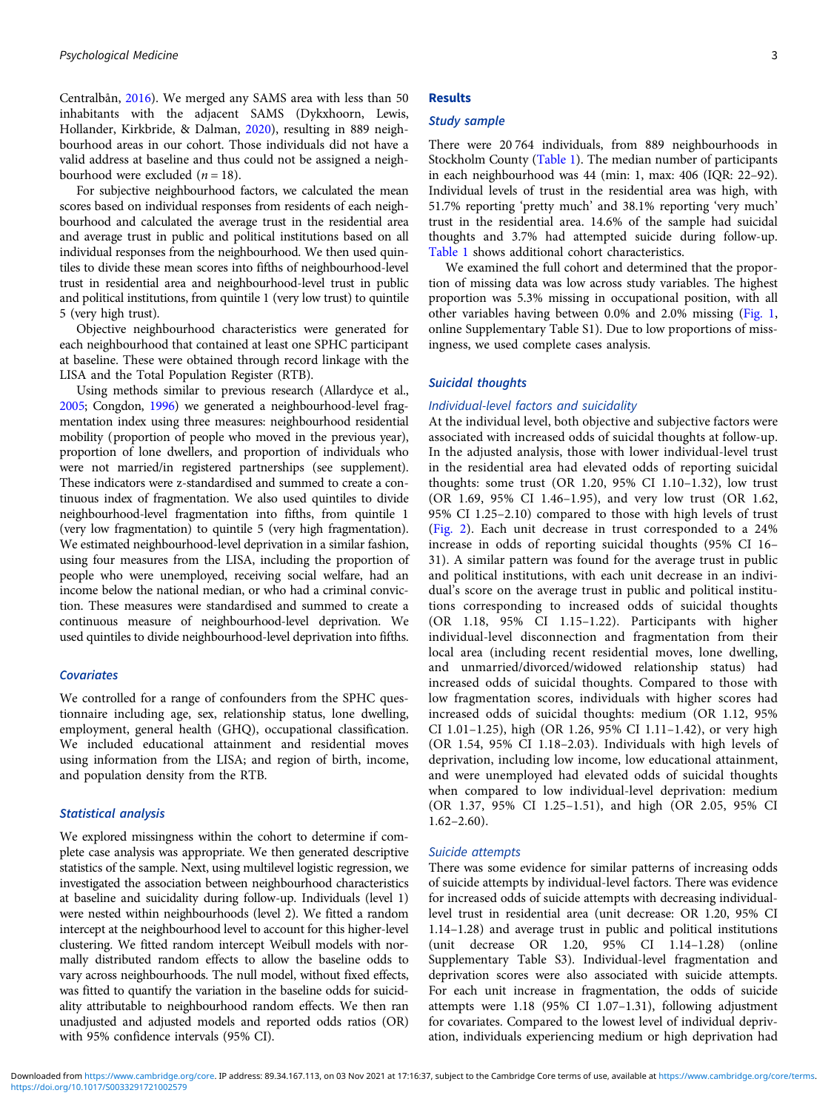Centralbån, [2016\)](#page-9-0). We merged any SAMS area with less than 50 inhabitants with the adjacent SAMS (Dykxhoorn, Lewis, Hollander, Kirkbride, & Dalman, [2020\)](#page-8-0), resulting in 889 neighbourhood areas in our cohort. Those individuals did not have a valid address at baseline and thus could not be assigned a neighbourhood were excluded  $(n = 18)$ .

For subjective neighbourhood factors, we calculated the mean scores based on individual responses from residents of each neighbourhood and calculated the average trust in the residential area and average trust in public and political institutions based on all individual responses from the neighbourhood. We then used quintiles to divide these mean scores into fifths of neighbourhood-level trust in residential area and neighbourhood-level trust in public and political institutions, from quintile 1 (very low trust) to quintile 5 (very high trust).

Objective neighbourhood characteristics were generated for each neighbourhood that contained at least one SPHC participant at baseline. These were obtained through record linkage with the LISA and the Total Population Register (RTB).

Using methods similar to previous research (Allardyce et al., [2005](#page-8-0); Congdon, [1996\)](#page-8-0) we generated a neighbourhood-level fragmentation index using three measures: neighbourhood residential mobility (proportion of people who moved in the previous year), proportion of lone dwellers, and proportion of individuals who were not married/in registered partnerships (see supplement). These indicators were z-standardised and summed to create a continuous index of fragmentation. We also used quintiles to divide neighbourhood-level fragmentation into fifths, from quintile 1 (very low fragmentation) to quintile 5 (very high fragmentation). We estimated neighbourhood-level deprivation in a similar fashion, using four measures from the LISA, including the proportion of people who were unemployed, receiving social welfare, had an income below the national median, or who had a criminal conviction. These measures were standardised and summed to create a continuous measure of neighbourhood-level deprivation. We used quintiles to divide neighbourhood-level deprivation into fifths.

# **Covariates**

We controlled for a range of confounders from the SPHC questionnaire including age, sex, relationship status, lone dwelling, employment, general health (GHQ), occupational classification. We included educational attainment and residential moves using information from the LISA; and region of birth, income, and population density from the RTB.

#### Statistical analysis

We explored missingness within the cohort to determine if complete case analysis was appropriate. We then generated descriptive statistics of the sample. Next, using multilevel logistic regression, we investigated the association between neighbourhood characteristics at baseline and suicidality during follow-up. Individuals (level 1) were nested within neighbourhoods (level 2). We fitted a random intercept at the neighbourhood level to account for this higher-level clustering. We fitted random intercept Weibull models with normally distributed random effects to allow the baseline odds to vary across neighbourhoods. The null model, without fixed effects, was fitted to quantify the variation in the baseline odds for suicidality attributable to neighbourhood random effects. We then ran unadjusted and adjusted models and reported odds ratios (OR) with 95% confidence intervals (95% CI).

# Results

#### Study sample

There were 20 764 individuals, from 889 neighbourhoods in Stockholm County [\(Table 1](#page-3-0)). The median number of participants in each neighbourhood was 44 (min: 1, max: 406 (IQR: 22–92). Individual levels of trust in the residential area was high, with 51.7% reporting 'pretty much' and 38.1% reporting 'very much' trust in the residential area. 14.6% of the sample had suicidal thoughts and 3.7% had attempted suicide during follow-up. [Table 1](#page-3-0) shows additional cohort characteristics.

We examined the full cohort and determined that the proportion of missing data was low across study variables. The highest proportion was 5.3% missing in occupational position, with all other variables having between 0.0% and 2.0% missing [\(Fig. 1](#page-4-0), online Supplementary Table S1). Due to low proportions of missingness, we used complete cases analysis.

#### Suicidal thoughts

#### Individual-level factors and suicidality

At the individual level, both objective and subjective factors were associated with increased odds of suicidal thoughts at follow-up. In the adjusted analysis, those with lower individual-level trust in the residential area had elevated odds of reporting suicidal thoughts: some trust (OR 1.20, 95% CI 1.10–1.32), low trust (OR 1.69, 95% CI 1.46–1.95), and very low trust (OR 1.62, 95% CI 1.25–2.10) compared to those with high levels of trust [\(Fig. 2](#page-5-0)). Each unit decrease in trust corresponded to a 24% increase in odds of reporting suicidal thoughts (95% CI 16– 31). A similar pattern was found for the average trust in public and political institutions, with each unit decrease in an individual's score on the average trust in public and political institutions corresponding to increased odds of suicidal thoughts (OR 1.18, 95% CI 1.15–1.22). Participants with higher individual-level disconnection and fragmentation from their local area (including recent residential moves, lone dwelling, and unmarried/divorced/widowed relationship status) had increased odds of suicidal thoughts. Compared to those with low fragmentation scores, individuals with higher scores had increased odds of suicidal thoughts: medium (OR 1.12, 95% CI 1.01–1.25), high (OR 1.26, 95% CI 1.11–1.42), or very high (OR 1.54, 95% CI 1.18–2.03). Individuals with high levels of deprivation, including low income, low educational attainment, and were unemployed had elevated odds of suicidal thoughts when compared to low individual-level deprivation: medium (OR 1.37, 95% CI 1.25–1.51), and high (OR 2.05, 95% CI  $1.62 - 2.60$ ).

#### Suicide attempts

There was some evidence for similar patterns of increasing odds of suicide attempts by individual-level factors. There was evidence for increased odds of suicide attempts with decreasing individuallevel trust in residential area (unit decrease: OR 1.20, 95% CI 1.14–1.28) and average trust in public and political institutions (unit decrease OR 1.20, 95% CI 1.14–1.28) (online Supplementary Table S3). Individual-level fragmentation and deprivation scores were also associated with suicide attempts. For each unit increase in fragmentation, the odds of suicide attempts were 1.18 (95% CI 1.07–1.31), following adjustment for covariates. Compared to the lowest level of individual deprivation, individuals experiencing medium or high deprivation had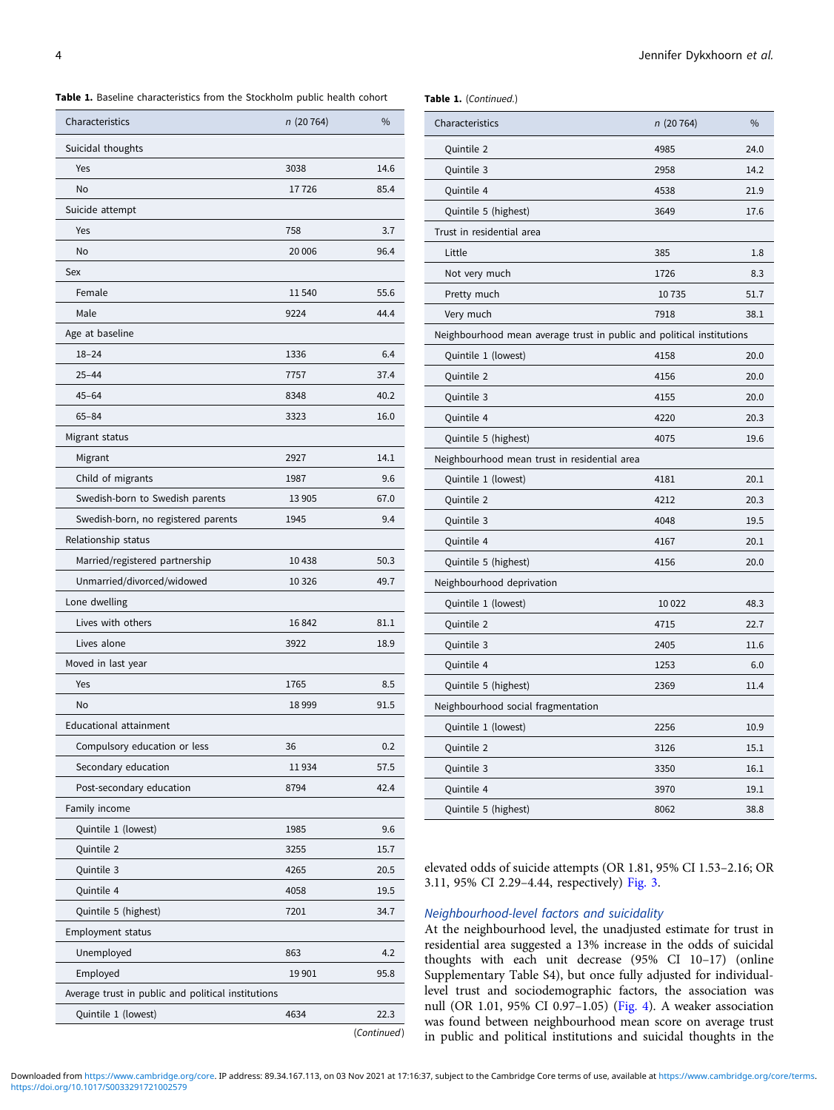<span id="page-3-0"></span>Table 1. Baseline characteristics from the Stockholm public health cohort

#### Table 1. (Continued.)

| Characteristics                                    | n(20764) | $\frac{0}{0}$ |
|----------------------------------------------------|----------|---------------|
| Suicidal thoughts                                  |          |               |
| Yes                                                | 3038     | 14.6          |
| <b>No</b>                                          | 17726    | 85.4          |
| Suicide attempt                                    |          |               |
| Yes                                                | 758      | 3.7           |
| <b>No</b>                                          | 20 006   | 96.4          |
| Sex                                                |          |               |
| Female                                             | 11540    | 55.6          |
| Male                                               | 9224     | 44.4          |
| Age at baseline                                    |          |               |
| $18 - 24$                                          | 1336     | 6.4           |
| $25 - 44$                                          | 7757     | 37.4          |
| $45 - 64$                                          | 8348     | 40.2          |
| $65 - 84$                                          | 3323     | 16.0          |
| Migrant status                                     |          |               |
| Migrant                                            | 2927     | 14.1          |
| Child of migrants                                  | 1987     | 9.6           |
| Swedish-born to Swedish parents                    | 13 905   | 67.0          |
| Swedish-born, no registered parents                | 1945     | 9.4           |
| Relationship status                                |          |               |
| Married/registered partnership                     | 10438    | 50.3          |
| Unmarried/divorced/widowed                         | 10 3 26  | 49.7          |
| Lone dwelling                                      |          |               |
| Lives with others                                  | 16842    | 81.1          |
| Lives alone                                        | 3922     | 18.9          |
| Moved in last year                                 |          |               |
| Yes                                                | 1765     | 8.5           |
| No                                                 | 18999    | 91.5          |
| Educational attainment                             |          |               |
| Compulsory education or less                       | 36       | 0.2           |
| Secondary education                                | 11934    | 57.5          |
| Post-secondary education                           | 8794     | 42.4          |
| Family income                                      |          |               |
| Quintile 1 (lowest)                                | 1985     | 9.6           |
| Quintile 2                                         | 3255     | 15.7          |
| Quintile 3                                         | 4265     | 20.5          |
| Quintile 4                                         | 4058     | 19.5          |
| Quintile 5 (highest)                               | 7201     | 34.7          |
| <b>Employment status</b>                           |          |               |
| Unemployed                                         | 863      | 4.2           |
| Employed                                           | 19 901   | 95.8          |
| Average trust in public and political institutions |          |               |
| Quintile 1 (lowest)                                | 4634     | 22.3          |
|                                                    |          | (Continued)   |

| Characteristics                                                       | n (20 764) | $\frac{0}{0}$ |  |
|-----------------------------------------------------------------------|------------|---------------|--|
| Quintile 2                                                            | 4985       | 24.0          |  |
| Quintile 3                                                            | 2958       | 14.2          |  |
| Quintile 4                                                            | 4538       | 21.9          |  |
| Quintile 5 (highest)                                                  | 3649       | 17.6          |  |
| Trust in residential area                                             |            |               |  |
| Little                                                                | 385        | 1.8           |  |
| Not very much                                                         | 1726       | 8.3           |  |
| Pretty much                                                           | 10735      | 51.7          |  |
| Very much                                                             | 7918       | 38.1          |  |
| Neighbourhood mean average trust in public and political institutions |            |               |  |
| Quintile 1 (lowest)                                                   | 4158       | 20.0          |  |
| Quintile 2                                                            | 4156       | 20.0          |  |
| Quintile 3                                                            | 4155       | 20.0          |  |
| Quintile 4                                                            | 4220       | 20.3          |  |
| Quintile 5 (highest)                                                  | 4075       | 19.6          |  |
| Neighbourhood mean trust in residential area                          |            |               |  |
| Quintile 1 (lowest)                                                   | 4181       | 20.1          |  |
| Quintile 2                                                            | 4212       | 20.3          |  |
| Quintile 3                                                            | 4048       | 19.5          |  |
| Quintile 4                                                            | 4167       | 20.1          |  |
| Quintile 5 (highest)                                                  | 4156       | 20.0          |  |
| Neighbourhood deprivation                                             |            |               |  |
| Quintile 1 (lowest)                                                   | 10 0 22    | 48.3          |  |
| Quintile 2                                                            | 4715       | 22.7          |  |
| Quintile 3                                                            | 2405       | 11.6          |  |
| Quintile 4                                                            | 1253       | 6.0           |  |
| Quintile 5 (highest)                                                  | 2369       | 11.4          |  |
| Neighbourhood social fragmentation                                    |            |               |  |
| Quintile 1 (lowest)                                                   | 2256       | 10.9          |  |
| Quintile 2                                                            | 3126       | 15.1          |  |
| Quintile 3                                                            | 3350       | 16.1          |  |
| Quintile 4                                                            | 3970       | 19.1          |  |
| Quintile 5 (highest)                                                  | 8062       | 38.8          |  |
|                                                                       |            |               |  |

elevated odds of suicide attempts (OR 1.81, 95% CI 1.53–2.16; OR 3.11, 95% CI 2.29–4.44, respectively) [Fig. 3.](#page-6-0)

# Neighbourhood-level factors and suicidality

At the neighbourhood level, the unadjusted estimate for trust in residential area suggested a 13% increase in the odds of suicidal thoughts with each unit decrease (95% CI 10–17) (online Supplementary Table S4), but once fully adjusted for individuallevel trust and sociodemographic factors, the association was null (OR 1.01, 95% CI 0.97–1.05) [\(Fig. 4](#page-6-0)). A weaker association was found between neighbourhood mean score on average trust in public and political institutions and suicidal thoughts in the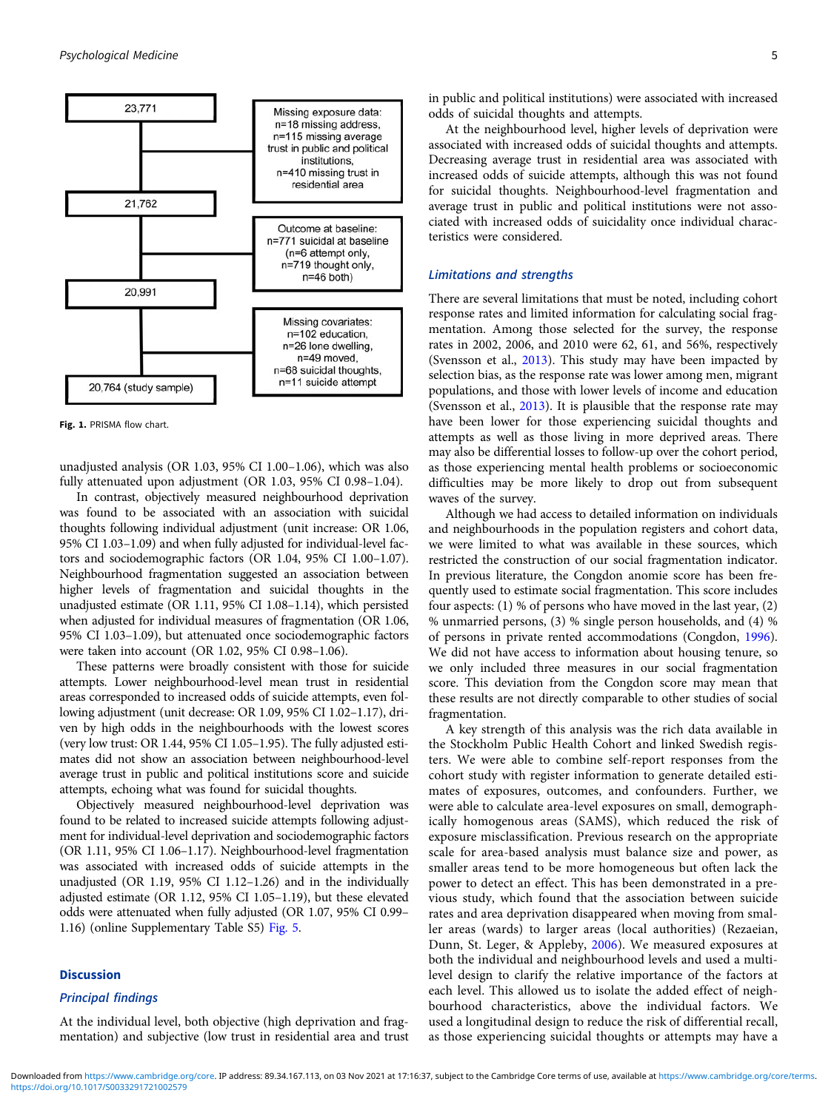<span id="page-4-0"></span>

Fig. 1. PRISMA flow chart.

unadjusted analysis (OR 1.03, 95% CI 1.00–1.06), which was also fully attenuated upon adjustment (OR 1.03, 95% CI 0.98–1.04).

In contrast, objectively measured neighbourhood deprivation was found to be associated with an association with suicidal thoughts following individual adjustment (unit increase: OR 1.06, 95% CI 1.03–1.09) and when fully adjusted for individual-level factors and sociodemographic factors (OR 1.04, 95% CI 1.00–1.07). Neighbourhood fragmentation suggested an association between higher levels of fragmentation and suicidal thoughts in the unadjusted estimate (OR 1.11, 95% CI 1.08–1.14), which persisted when adjusted for individual measures of fragmentation (OR 1.06, 95% CI 1.03–1.09), but attenuated once sociodemographic factors were taken into account (OR 1.02, 95% CI 0.98–1.06).

These patterns were broadly consistent with those for suicide attempts. Lower neighbourhood-level mean trust in residential areas corresponded to increased odds of suicide attempts, even following adjustment (unit decrease: OR 1.09, 95% CI 1.02–1.17), driven by high odds in the neighbourhoods with the lowest scores (very low trust: OR 1.44, 95% CI 1.05–1.95). The fully adjusted estimates did not show an association between neighbourhood-level average trust in public and political institutions score and suicide attempts, echoing what was found for suicidal thoughts.

Objectively measured neighbourhood-level deprivation was found to be related to increased suicide attempts following adjustment for individual-level deprivation and sociodemographic factors (OR 1.11, 95% CI 1.06–1.17). Neighbourhood-level fragmentation was associated with increased odds of suicide attempts in the unadjusted (OR 1.19, 95% CI 1.12–1.26) and in the individually adjusted estimate (OR 1.12, 95% CI 1.05–1.19), but these elevated odds were attenuated when fully adjusted (OR 1.07, 95% CI 0.99– 1.16) (online Supplementary Table S5) [Fig. 5](#page-7-0).

# Discussion

# Principal findings

At the individual level, both objective (high deprivation and fragmentation) and subjective (low trust in residential area and trust in public and political institutions) were associated with increased odds of suicidal thoughts and attempts.

At the neighbourhood level, higher levels of deprivation were associated with increased odds of suicidal thoughts and attempts. Decreasing average trust in residential area was associated with increased odds of suicide attempts, although this was not found for suicidal thoughts. Neighbourhood-level fragmentation and average trust in public and political institutions were not associated with increased odds of suicidality once individual characteristics were considered.

# Limitations and strengths

There are several limitations that must be noted, including cohort response rates and limited information for calculating social fragmentation. Among those selected for the survey, the response rates in 2002, 2006, and 2010 were 62, 61, and 56%, respectively (Svensson et al., [2013](#page-9-0)). This study may have been impacted by selection bias, as the response rate was lower among men, migrant populations, and those with lower levels of income and education (Svensson et al., [2013](#page-9-0)). It is plausible that the response rate may have been lower for those experiencing suicidal thoughts and attempts as well as those living in more deprived areas. There may also be differential losses to follow-up over the cohort period, as those experiencing mental health problems or socioeconomic difficulties may be more likely to drop out from subsequent waves of the survey.

Although we had access to detailed information on individuals and neighbourhoods in the population registers and cohort data, we were limited to what was available in these sources, which restricted the construction of our social fragmentation indicator. In previous literature, the Congdon anomie score has been frequently used to estimate social fragmentation. This score includes four aspects: (1) % of persons who have moved in the last year, (2) % unmarried persons, (3) % single person households, and (4) % of persons in private rented accommodations (Congdon, [1996](#page-8-0)). We did not have access to information about housing tenure, so we only included three measures in our social fragmentation score. This deviation from the Congdon score may mean that these results are not directly comparable to other studies of social fragmentation.

A key strength of this analysis was the rich data available in the Stockholm Public Health Cohort and linked Swedish registers. We were able to combine self-report responses from the cohort study with register information to generate detailed estimates of exposures, outcomes, and confounders. Further, we were able to calculate area-level exposures on small, demographically homogenous areas (SAMS), which reduced the risk of exposure misclassification. Previous research on the appropriate scale for area-based analysis must balance size and power, as smaller areas tend to be more homogeneous but often lack the power to detect an effect. This has been demonstrated in a previous study, which found that the association between suicide rates and area deprivation disappeared when moving from smaller areas (wards) to larger areas (local authorities) (Rezaeian, Dunn, St. Leger, & Appleby, [2006](#page-9-0)). We measured exposures at both the individual and neighbourhood levels and used a multilevel design to clarify the relative importance of the factors at each level. This allowed us to isolate the added effect of neighbourhood characteristics, above the individual factors. We used a longitudinal design to reduce the risk of differential recall, as those experiencing suicidal thoughts or attempts may have a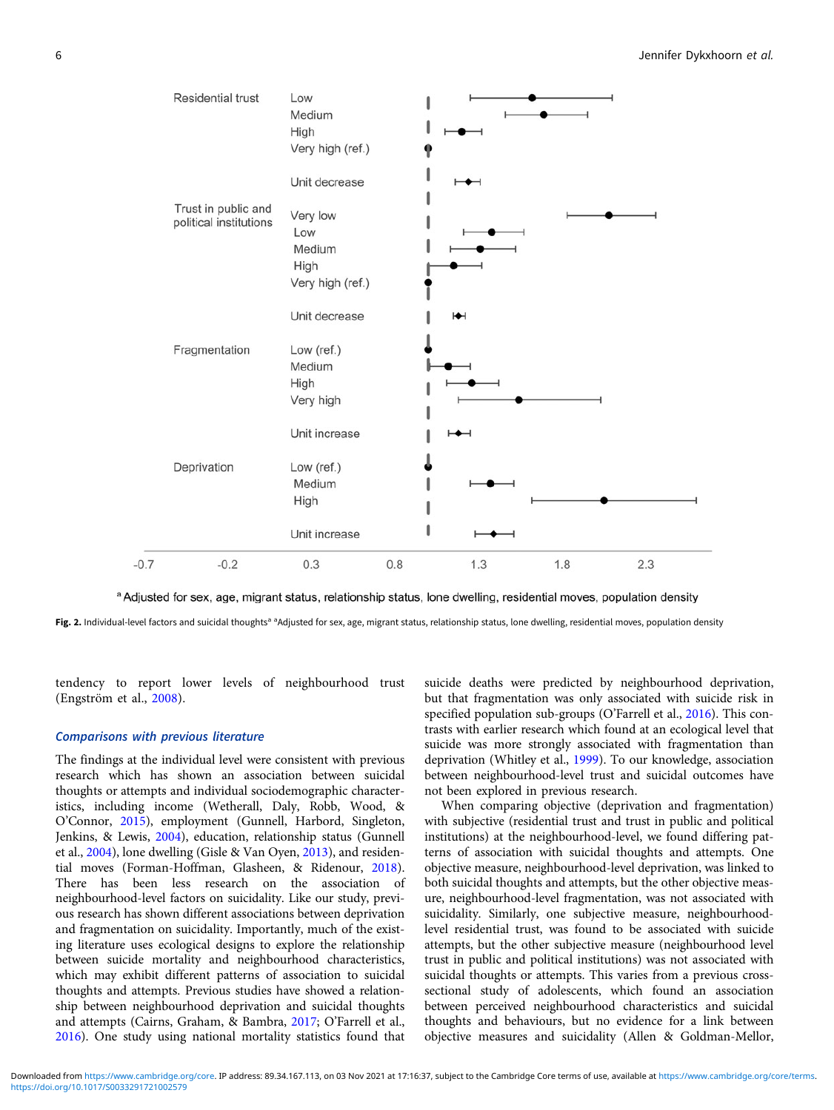<span id="page-5-0"></span>

a Adjusted for sex, age, migrant status, relationship status, lone dwelling, residential moves, population density

Fig. 2. Individual-level factors and suicidal thoughts<sup>a a</sup>Adjusted for sex, age, migrant status, relationship status, lone dwelling, residential moves, population density

tendency to report lower levels of neighbourhood trust (Engström et al., [2008\)](#page-8-0).

# Comparisons with previous literature

The findings at the individual level were consistent with previous research which has shown an association between suicidal thoughts or attempts and individual sociodemographic characteristics, including income (Wetherall, Daly, Robb, Wood, & O'Connor, [2015](#page-9-0)), employment (Gunnell, Harbord, Singleton, Jenkins, & Lewis, [2004](#page-8-0)), education, relationship status (Gunnell et al., [2004\)](#page-8-0), lone dwelling (Gisle & Van Oyen, [2013](#page-8-0)), and residential moves (Forman-Hoffman, Glasheen, & Ridenour, [2018\)](#page-8-0). There has been less research on the association of neighbourhood-level factors on suicidality. Like our study, previous research has shown different associations between deprivation and fragmentation on suicidality. Importantly, much of the existing literature uses ecological designs to explore the relationship between suicide mortality and neighbourhood characteristics, which may exhibit different patterns of association to suicidal thoughts and attempts. Previous studies have showed a relationship between neighbourhood deprivation and suicidal thoughts and attempts (Cairns, Graham, & Bambra, [2017](#page-8-0); O'Farrell et al., [2016\)](#page-8-0). One study using national mortality statistics found that

suicide deaths were predicted by neighbourhood deprivation, but that fragmentation was only associated with suicide risk in specified population sub-groups (O'Farrell et al., [2016](#page-8-0)). This contrasts with earlier research which found at an ecological level that suicide was more strongly associated with fragmentation than deprivation (Whitley et al., [1999\)](#page-9-0). To our knowledge, association between neighbourhood-level trust and suicidal outcomes have not been explored in previous research.

When comparing objective (deprivation and fragmentation) with subjective (residential trust and trust in public and political institutions) at the neighbourhood-level, we found differing patterns of association with suicidal thoughts and attempts. One objective measure, neighbourhood-level deprivation, was linked to both suicidal thoughts and attempts, but the other objective measure, neighbourhood-level fragmentation, was not associated with suicidality. Similarly, one subjective measure, neighbourhoodlevel residential trust, was found to be associated with suicide attempts, but the other subjective measure (neighbourhood level trust in public and political institutions) was not associated with suicidal thoughts or attempts. This varies from a previous crosssectional study of adolescents, which found an association between perceived neighbourhood characteristics and suicidal thoughts and behaviours, but no evidence for a link between objective measures and suicidality (Allen & Goldman-Mellor,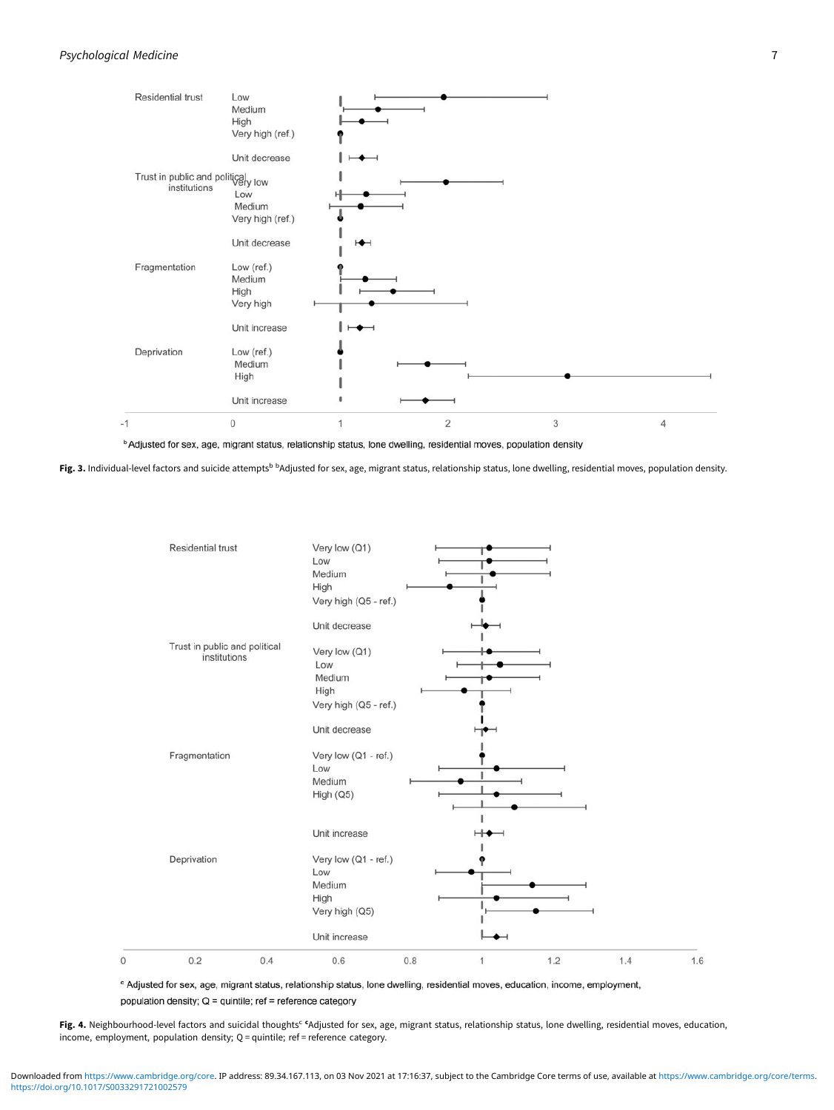## <span id="page-6-0"></span>Psychological Medicine 7

 $\,$   $\,$ 



<sup>b</sup> Adjusted for sex, age, migrant status, relationship status, lone dwelling, residential moves, population density

Fig. 3. Individual-level factors and suicide attempts<sup>b b</sup>Adjusted for sex, age, migrant status, relationship status, lone dwelling, residential moves, population density.



<sup>c</sup> Adjusted for sex, age, migrant status, relationship status, lone dwelling, residential moves, education, income, employment, population density; Q = quintile; ref = reference category

Fig. 4. Neighbourhood-level factors and suicidal thoughts<sup>c c</sup>Adjusted for sex, age, migrant status, relationship status, lone dwelling, residential moves, education, income, employment, population density; Q = quintile; ref = reference category.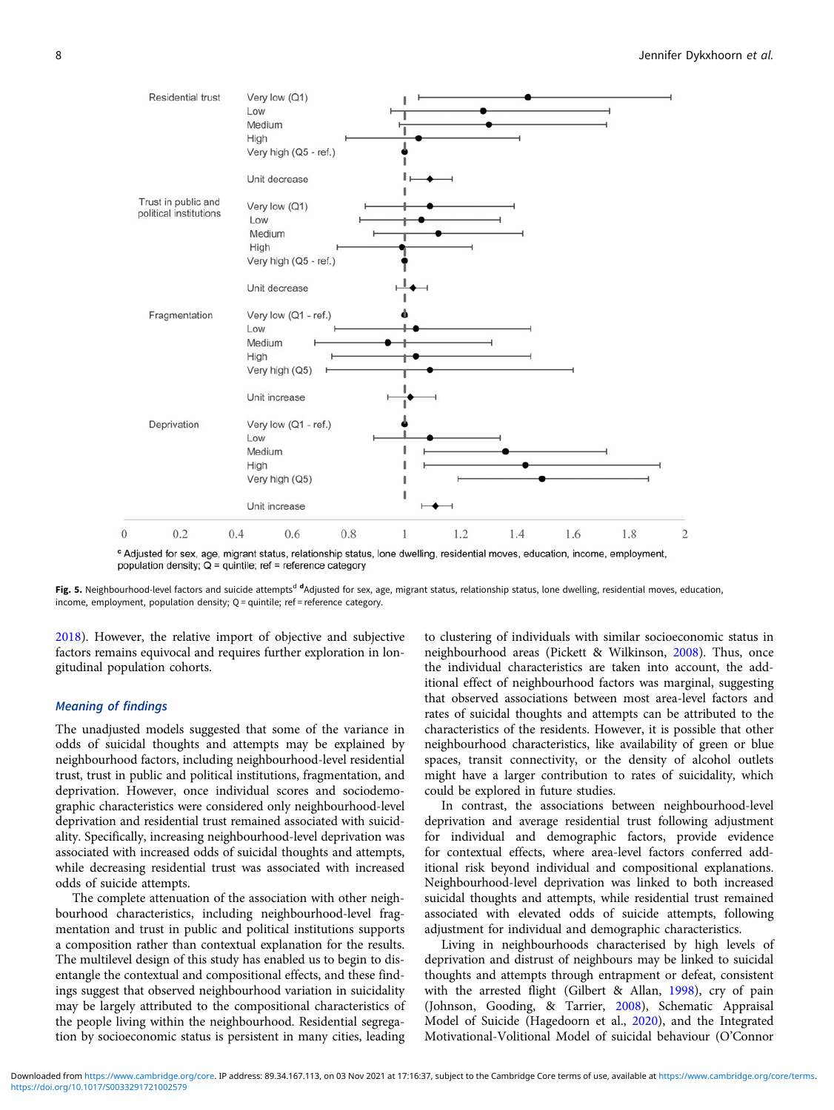<span id="page-7-0"></span>

Fig. 5. Neighbourhood-level factors and suicide attempts<sup>d d</sup>Adjusted for sex, age, migrant status, relationship status, lone dwelling, residential moves, education,

income, employment, population density; Q = quintile; ref = reference category.

[2018\)](#page-8-0). However, the relative import of objective and subjective factors remains equivocal and requires further exploration in longitudinal population cohorts.

# Meaning of findings

The unadjusted models suggested that some of the variance in odds of suicidal thoughts and attempts may be explained by neighbourhood factors, including neighbourhood-level residential trust, trust in public and political institutions, fragmentation, and deprivation. However, once individual scores and sociodemographic characteristics were considered only neighbourhood-level deprivation and residential trust remained associated with suicidality. Specifically, increasing neighbourhood-level deprivation was associated with increased odds of suicidal thoughts and attempts, while decreasing residential trust was associated with increased odds of suicide attempts.

The complete attenuation of the association with other neighbourhood characteristics, including neighbourhood-level fragmentation and trust in public and political institutions supports a composition rather than contextual explanation for the results. The multilevel design of this study has enabled us to begin to disentangle the contextual and compositional effects, and these findings suggest that observed neighbourhood variation in suicidality may be largely attributed to the compositional characteristics of the people living within the neighbourhood. Residential segregation by socioeconomic status is persistent in many cities, leading to clustering of individuals with similar socioeconomic status in neighbourhood areas (Pickett & Wilkinson, [2008](#page-8-0)). Thus, once the individual characteristics are taken into account, the additional effect of neighbourhood factors was marginal, suggesting that observed associations between most area-level factors and rates of suicidal thoughts and attempts can be attributed to the characteristics of the residents. However, it is possible that other neighbourhood characteristics, like availability of green or blue spaces, transit connectivity, or the density of alcohol outlets might have a larger contribution to rates of suicidality, which could be explored in future studies.

In contrast, the associations between neighbourhood-level deprivation and average residential trust following adjustment for individual and demographic factors, provide evidence for contextual effects, where area-level factors conferred additional risk beyond individual and compositional explanations. Neighbourhood-level deprivation was linked to both increased suicidal thoughts and attempts, while residential trust remained associated with elevated odds of suicide attempts, following adjustment for individual and demographic characteristics.

Living in neighbourhoods characterised by high levels of deprivation and distrust of neighbours may be linked to suicidal thoughts and attempts through entrapment or defeat, consistent with the arrested flight (Gilbert & Allan, [1998](#page-8-0)), cry of pain (Johnson, Gooding, & Tarrier, [2008](#page-8-0)), Schematic Appraisal Model of Suicide (Hagedoorn et al., [2020\)](#page-8-0), and the Integrated Motivational-Volitional Model of suicidal behaviour (O'Connor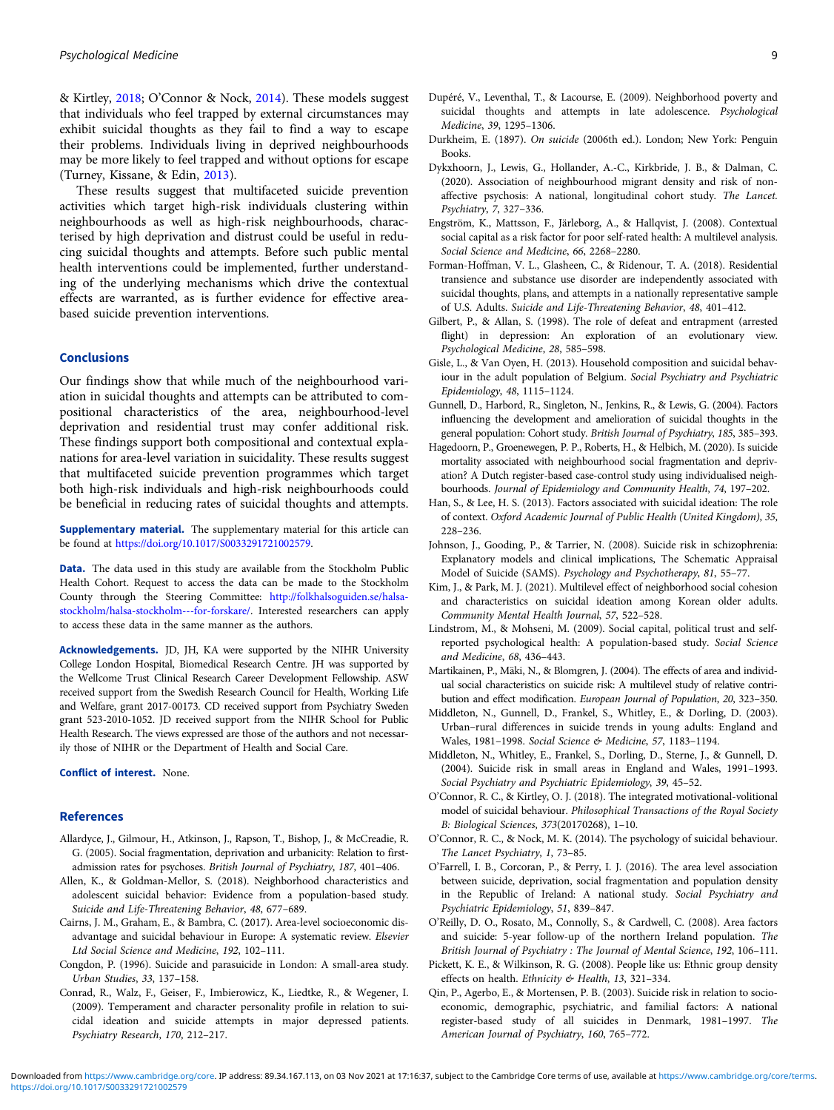<span id="page-8-0"></span>& Kirtley, 2018; O'Connor & Nock, 2014). These models suggest that individuals who feel trapped by external circumstances may exhibit suicidal thoughts as they fail to find a way to escape their problems. Individuals living in deprived neighbourhoods may be more likely to feel trapped and without options for escape (Turney, Kissane, & Edin, [2013\)](#page-9-0).

These results suggest that multifaceted suicide prevention activities which target high-risk individuals clustering within neighbourhoods as well as high-risk neighbourhoods, characterised by high deprivation and distrust could be useful in reducing suicidal thoughts and attempts. Before such public mental health interventions could be implemented, further understanding of the underlying mechanisms which drive the contextual effects are warranted, as is further evidence for effective areabased suicide prevention interventions.

#### Conclusions

Our findings show that while much of the neighbourhood variation in suicidal thoughts and attempts can be attributed to compositional characteristics of the area, neighbourhood-level deprivation and residential trust may confer additional risk. These findings support both compositional and contextual explanations for area-level variation in suicidality. These results suggest that multifaceted suicide prevention programmes which target both high-risk individuals and high-risk neighbourhoods could be beneficial in reducing rates of suicidal thoughts and attempts.

Supplementary material. The supplementary material for this article can be found at [https://doi.org/10.1017/S0033291721002579.](https://doi.org/10.1017/S0033291721002579)

Data. The data used in this study are available from the Stockholm Public Health Cohort. Request to access the data can be made to the Stockholm County through the Steering Committee: [http://folkhalsoguiden.se/halsa](http://folkhalsoguiden.se/halsa-stockholm/halsa-stockholm---for-forskare/)[stockholm/halsa-stockholm---for-forskare/.](http://folkhalsoguiden.se/halsa-stockholm/halsa-stockholm---for-forskare/) Interested researchers can apply to access these data in the same manner as the authors.

Acknowledgements. JD, JH, KA were supported by the NIHR University College London Hospital, Biomedical Research Centre. JH was supported by the Wellcome Trust Clinical Research Career Development Fellowship. ASW received support from the Swedish Research Council for Health, Working Life and Welfare, grant 2017-00173. CD received support from Psychiatry Sweden grant 523-2010-1052. JD received support from the NIHR School for Public Health Research. The views expressed are those of the authors and not necessarily those of NIHR or the Department of Health and Social Care.

Conflict of interest. None.

#### References

- Allardyce, J., Gilmour, H., Atkinson, J., Rapson, T., Bishop, J., & McCreadie, R. G. (2005). Social fragmentation, deprivation and urbanicity: Relation to firstadmission rates for psychoses. British Journal of Psychiatry, 187, 401–406.
- Allen, K., & Goldman-Mellor, S. (2018). Neighborhood characteristics and adolescent suicidal behavior: Evidence from a population-based study. Suicide and Life-Threatening Behavior, 48, 677–689.
- Cairns, J. M., Graham, E., & Bambra, C. (2017). Area-level socioeconomic disadvantage and suicidal behaviour in Europe: A systematic review. Elsevier Ltd Social Science and Medicine, 192, 102–111.
- Congdon, P. (1996). Suicide and parasuicide in London: A small-area study. Urban Studies, 33, 137–158.
- Conrad, R., Walz, F., Geiser, F., Imbierowicz, K., Liedtke, R., & Wegener, I. (2009). Temperament and character personality profile in relation to suicidal ideation and suicide attempts in major depressed patients. Psychiatry Research, 170, 212–217.
- Dupéré, V., Leventhal, T., & Lacourse, E. (2009). Neighborhood poverty and suicidal thoughts and attempts in late adolescence. Psychological Medicine, 39, 1295–1306.
- Durkheim, E. (1897). On suicide (2006th ed.). London; New York: Penguin Books.
- Dykxhoorn, J., Lewis, G., Hollander, A.-C., Kirkbride, J. B., & Dalman, C. (2020). Association of neighbourhood migrant density and risk of nonaffective psychosis: A national, longitudinal cohort study. The Lancet. Psychiatry, 7, 327–336.
- Engström, K., Mattsson, F., Järleborg, A., & Hallqvist, J. (2008). Contextual social capital as a risk factor for poor self-rated health: A multilevel analysis. Social Science and Medicine, 66, 2268–2280.
- Forman-Hoffman, V. L., Glasheen, C., & Ridenour, T. A. (2018). Residential transience and substance use disorder are independently associated with suicidal thoughts, plans, and attempts in a nationally representative sample of U.S. Adults. Suicide and Life-Threatening Behavior, 48, 401–412.
- Gilbert, P., & Allan, S. (1998). The role of defeat and entrapment (arrested flight) in depression: An exploration of an evolutionary view. Psychological Medicine, 28, 585–598.
- Gisle, L., & Van Oyen, H. (2013). Household composition and suicidal behaviour in the adult population of Belgium. Social Psychiatry and Psychiatric Epidemiology, 48, 1115–1124.
- Gunnell, D., Harbord, R., Singleton, N., Jenkins, R., & Lewis, G. (2004). Factors influencing the development and amelioration of suicidal thoughts in the general population: Cohort study. British Journal of Psychiatry, 185, 385–393.
- Hagedoorn, P., Groenewegen, P. P., Roberts, H., & Helbich, M. (2020). Is suicide mortality associated with neighbourhood social fragmentation and deprivation? A Dutch register-based case-control study using individualised neighbourhoods. Journal of Epidemiology and Community Health, 74, 197–202.
- Han, S., & Lee, H. S. (2013). Factors associated with suicidal ideation: The role of context. Oxford Academic Journal of Public Health (United Kingdom), 35, 228–236.
- Johnson, J., Gooding, P., & Tarrier, N. (2008). Suicide risk in schizophrenia: Explanatory models and clinical implications, The Schematic Appraisal Model of Suicide (SAMS). Psychology and Psychotherapy, 81, 55–77.
- Kim, J., & Park, M. J. (2021). Multilevel effect of neighborhood social cohesion and characteristics on suicidal ideation among Korean older adults. Community Mental Health Journal, 57, 522–528.
- Lindstrom, M., & Mohseni, M. (2009). Social capital, political trust and selfreported psychological health: A population-based study. Social Science and Medicine, 68, 436–443.
- Martikainen, P., Mäki, N., & Blomgren, J. (2004). The effects of area and individual social characteristics on suicide risk: A multilevel study of relative contribution and effect modification. European Journal of Population, 20, 323–350.
- Middleton, N., Gunnell, D., Frankel, S., Whitley, E., & Dorling, D. (2003). Urban–rural differences in suicide trends in young adults: England and Wales, 1981–1998. Social Science & Medicine, 57, 1183–1194.
- Middleton, N., Whitley, E., Frankel, S., Dorling, D., Sterne, J., & Gunnell, D. (2004). Suicide risk in small areas in England and Wales, 1991–1993. Social Psychiatry and Psychiatric Epidemiology, 39, 45–52.
- O'Connor, R. C., & Kirtley, O. J. (2018). The integrated motivational-volitional model of suicidal behaviour. Philosophical Transactions of the Royal Society B: Biological Sciences, 373(20170268), 1–10.
- O'Connor, R. C., & Nock, M. K. (2014). The psychology of suicidal behaviour. The Lancet Psychiatry, 1, 73–85.
- O'Farrell, I. B., Corcoran, P., & Perry, I. J. (2016). The area level association between suicide, deprivation, social fragmentation and population density in the Republic of Ireland: A national study. Social Psychiatry and Psychiatric Epidemiology, 51, 839–847.
- O'Reilly, D. O., Rosato, M., Connolly, S., & Cardwell, C. (2008). Area factors and suicide: 5-year follow-up of the northern Ireland population. The British Journal of Psychiatry : The Journal of Mental Science, 192, 106–111.
- Pickett, K. E., & Wilkinson, R. G. (2008). People like us: Ethnic group density effects on health. Ethnicity & Health, 13, 321-334.
- Qin, P., Agerbo, E., & Mortensen, P. B. (2003). Suicide risk in relation to socioeconomic, demographic, psychiatric, and familial factors: A national register-based study of all suicides in Denmark, 1981–1997. The American Journal of Psychiatry, 160, 765–772.